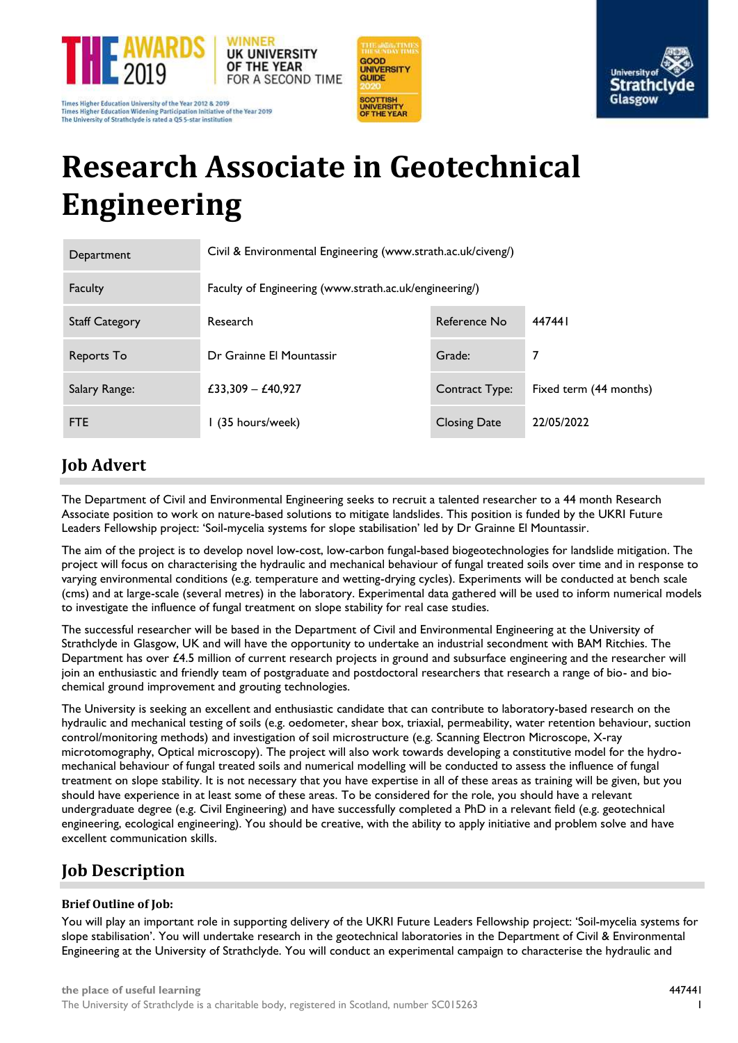

Times Higher Education University of the Year 2012 & 2019<br>Times Higher Education Widening Participation Initiative of the Year 2019 The University of Strathclyde is rated a QS 5-star institution





# **Research Associate in Geotechnical Engineering**

| Department            | Civil & Environmental Engineering (www.strath.ac.uk/civeng/) |                     |                        |
|-----------------------|--------------------------------------------------------------|---------------------|------------------------|
| Faculty               | Faculty of Engineering (www.strath.ac.uk/engineering/)       |                     |                        |
| <b>Staff Category</b> | Research                                                     | Reference No        | 447441                 |
| Reports To            | Dr Grainne El Mountassir                                     | Grade:              | 7                      |
| Salary Range:         | £33,309 - £40,927                                            | Contract Type:      | Fixed term (44 months) |
| FTE                   | I (35 hours/week)                                            | <b>Closing Date</b> | 22/05/2022             |

# **Job Advert**

The Department of Civil and Environmental Engineering seeks to recruit a talented researcher to a 44 month Research Associate position to work on nature-based solutions to mitigate landslides. This position is funded by the UKRI Future Leaders Fellowship project: 'Soil-mycelia systems for slope stabilisation' led by Dr Grainne El Mountassir.

The aim of the project is to develop novel low-cost, low-carbon fungal-based biogeotechnologies for landslide mitigation. The project will focus on characterising the hydraulic and mechanical behaviour of fungal treated soils over time and in response to varying environmental conditions (e.g. temperature and wetting-drying cycles). Experiments will be conducted at bench scale (cms) and at large-scale (several metres) in the laboratory. Experimental data gathered will be used to inform numerical models to investigate the influence of fungal treatment on slope stability for real case studies.

The successful researcher will be based in the Department of Civil and Environmental Engineering at the University of Strathclyde in Glasgow, UK and will have the opportunity to undertake an industrial secondment with BAM Ritchies. The Department has over £4.5 million of current research projects in ground and subsurface engineering and the researcher will join an enthusiastic and friendly team of postgraduate and postdoctoral researchers that research a range of bio- and biochemical ground improvement and grouting technologies.

The University is seeking an excellent and enthusiastic candidate that can contribute to laboratory-based research on the hydraulic and mechanical testing of soils (e.g. oedometer, shear box, triaxial, permeability, water retention behaviour, suction control/monitoring methods) and investigation of soil microstructure (e.g. Scanning Electron Microscope, X-ray microtomography, Optical microscopy). The project will also work towards developing a constitutive model for the hydromechanical behaviour of fungal treated soils and numerical modelling will be conducted to assess the influence of fungal treatment on slope stability. It is not necessary that you have expertise in all of these areas as training will be given, but you should have experience in at least some of these areas. To be considered for the role, you should have a relevant undergraduate degree (e.g. Civil Engineering) and have successfully completed a PhD in a relevant field (e.g. geotechnical engineering, ecological engineering). You should be creative, with the ability to apply initiative and problem solve and have excellent communication skills.

## **Job Description**

### **Brief Outline of Job:**

You will play an important role in supporting delivery of the UKRI Future Leaders Fellowship project: 'Soil-mycelia systems for slope stabilisation'. You will undertake research in the geotechnical laboratories in the Department of Civil & Environmental Engineering at the University of Strathclyde. You will conduct an experimental campaign to characterise the hydraulic and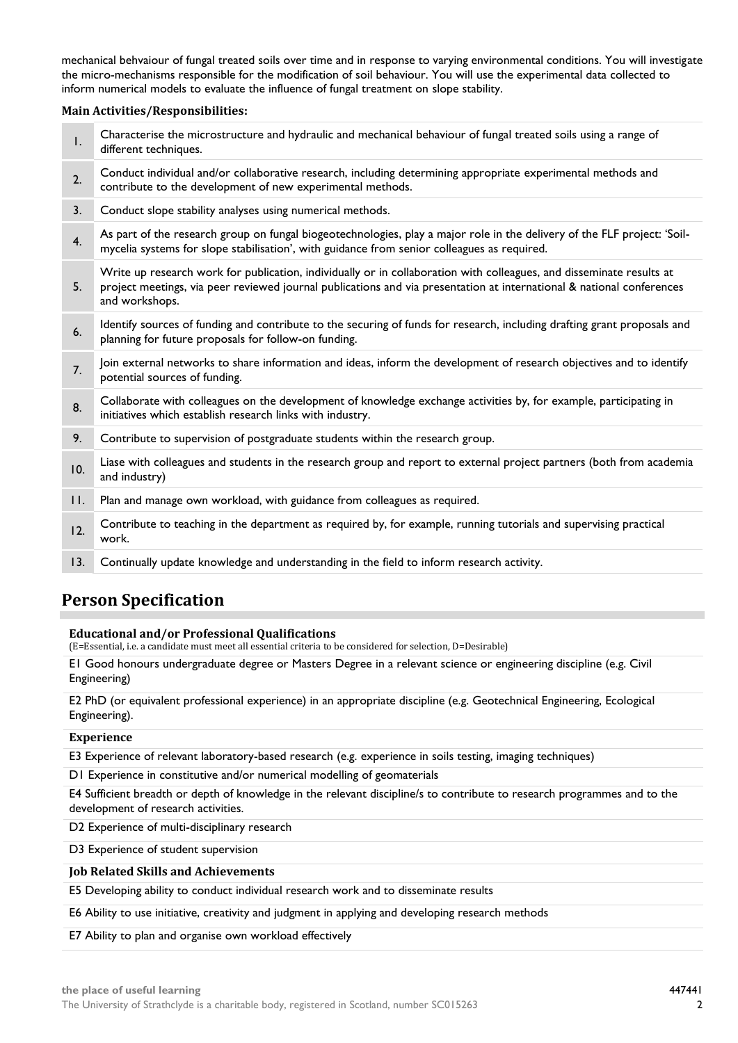mechanical behvaiour of fungal treated soils over time and in response to varying environmental conditions. You will investigate the micro-mechanisms responsible for the modification of soil behaviour. You will use the experimental data collected to inform numerical models to evaluate the influence of fungal treatment on slope stability.

### **Main Activities/Responsibilities:**

| Conduct individual and/or collaborative research, including determining appropriate experimental methods and<br>2.<br>contribute to the development of new experimental methods.<br>Conduct slope stability analyses using numerical methods.<br>3.<br>4.<br>mycelia systems for slope stabilisation', with guidance from senior colleagues as required.<br>Write up research work for publication, individually or in collaboration with colleagues, and disseminate results at<br>project meetings, via peer reviewed journal publications and via presentation at international & national conferences<br>5.<br>and workshops.<br>6.<br>planning for future proposals for follow-on funding.<br>7.<br>potential sources of funding.<br>Collaborate with colleagues on the development of knowledge exchange activities by, for example, participating in<br>8.<br>initiatives which establish research links with industry.<br>9.<br>Contribute to supervision of postgraduate students within the research group.<br>10.<br>and industry)<br>Plan and manage own workload, with guidance from colleagues as required.<br>II.<br>Contribute to teaching in the department as required by, for example, running tutorials and supervising practical<br>12.<br>work.<br>Continually update knowledge and understanding in the field to inform research activity.<br>13. | $\mathsf{I}$ . | Characterise the microstructure and hydraulic and mechanical behaviour of fungal treated soils using a range of<br>different techniques. |
|--------------------------------------------------------------------------------------------------------------------------------------------------------------------------------------------------------------------------------------------------------------------------------------------------------------------------------------------------------------------------------------------------------------------------------------------------------------------------------------------------------------------------------------------------------------------------------------------------------------------------------------------------------------------------------------------------------------------------------------------------------------------------------------------------------------------------------------------------------------------------------------------------------------------------------------------------------------------------------------------------------------------------------------------------------------------------------------------------------------------------------------------------------------------------------------------------------------------------------------------------------------------------------------------------------------------------------------------------------------------------|----------------|------------------------------------------------------------------------------------------------------------------------------------------|
|                                                                                                                                                                                                                                                                                                                                                                                                                                                                                                                                                                                                                                                                                                                                                                                                                                                                                                                                                                                                                                                                                                                                                                                                                                                                                                                                                                          |                |                                                                                                                                          |
|                                                                                                                                                                                                                                                                                                                                                                                                                                                                                                                                                                                                                                                                                                                                                                                                                                                                                                                                                                                                                                                                                                                                                                                                                                                                                                                                                                          |                |                                                                                                                                          |
|                                                                                                                                                                                                                                                                                                                                                                                                                                                                                                                                                                                                                                                                                                                                                                                                                                                                                                                                                                                                                                                                                                                                                                                                                                                                                                                                                                          |                | As part of the research group on fungal biogeotechnologies, play a major role in the delivery of the FLF project: 'Soil-                 |
|                                                                                                                                                                                                                                                                                                                                                                                                                                                                                                                                                                                                                                                                                                                                                                                                                                                                                                                                                                                                                                                                                                                                                                                                                                                                                                                                                                          |                |                                                                                                                                          |
|                                                                                                                                                                                                                                                                                                                                                                                                                                                                                                                                                                                                                                                                                                                                                                                                                                                                                                                                                                                                                                                                                                                                                                                                                                                                                                                                                                          |                | Identify sources of funding and contribute to the securing of funds for research, including drafting grant proposals and                 |
|                                                                                                                                                                                                                                                                                                                                                                                                                                                                                                                                                                                                                                                                                                                                                                                                                                                                                                                                                                                                                                                                                                                                                                                                                                                                                                                                                                          |                | Join external networks to share information and ideas, inform the development of research objectives and to identify                     |
|                                                                                                                                                                                                                                                                                                                                                                                                                                                                                                                                                                                                                                                                                                                                                                                                                                                                                                                                                                                                                                                                                                                                                                                                                                                                                                                                                                          |                |                                                                                                                                          |
|                                                                                                                                                                                                                                                                                                                                                                                                                                                                                                                                                                                                                                                                                                                                                                                                                                                                                                                                                                                                                                                                                                                                                                                                                                                                                                                                                                          |                |                                                                                                                                          |
|                                                                                                                                                                                                                                                                                                                                                                                                                                                                                                                                                                                                                                                                                                                                                                                                                                                                                                                                                                                                                                                                                                                                                                                                                                                                                                                                                                          |                | Liase with colleagues and students in the research group and report to external project partners (both from academia                     |
|                                                                                                                                                                                                                                                                                                                                                                                                                                                                                                                                                                                                                                                                                                                                                                                                                                                                                                                                                                                                                                                                                                                                                                                                                                                                                                                                                                          |                |                                                                                                                                          |
|                                                                                                                                                                                                                                                                                                                                                                                                                                                                                                                                                                                                                                                                                                                                                                                                                                                                                                                                                                                                                                                                                                                                                                                                                                                                                                                                                                          |                |                                                                                                                                          |
|                                                                                                                                                                                                                                                                                                                                                                                                                                                                                                                                                                                                                                                                                                                                                                                                                                                                                                                                                                                                                                                                                                                                                                                                                                                                                                                                                                          |                |                                                                                                                                          |

## **Person Specification**

### **Educational and/or Professional Qualifications**

(E=Essential, i.e. a candidate must meet all essential criteria to be considered for selection, D=Desirable)

E1 Good honours undergraduate degree or Masters Degree in a relevant science or engineering discipline (e.g. Civil Engineering)

E2 PhD (or equivalent professional experience) in an appropriate discipline (e.g. Geotechnical Engineering, Ecological Engineering).

### **Experience**

E3 Experience of relevant laboratory-based research (e.g. experience in soils testing, imaging techniques)

D1 Experience in constitutive and/or numerical modelling of geomaterials

E4 Sufficient breadth or depth of knowledge in the relevant discipline/s to contribute to research programmes and to the development of research activities.

D2 Experience of multi-disciplinary research

D3 Experience of student supervision

### **Job Related Skills and Achievements**

E5 Developing ability to conduct individual research work and to disseminate results

E6 Ability to use initiative, creativity and judgment in applying and developing research methods

E7 Ability to plan and organise own workload effectively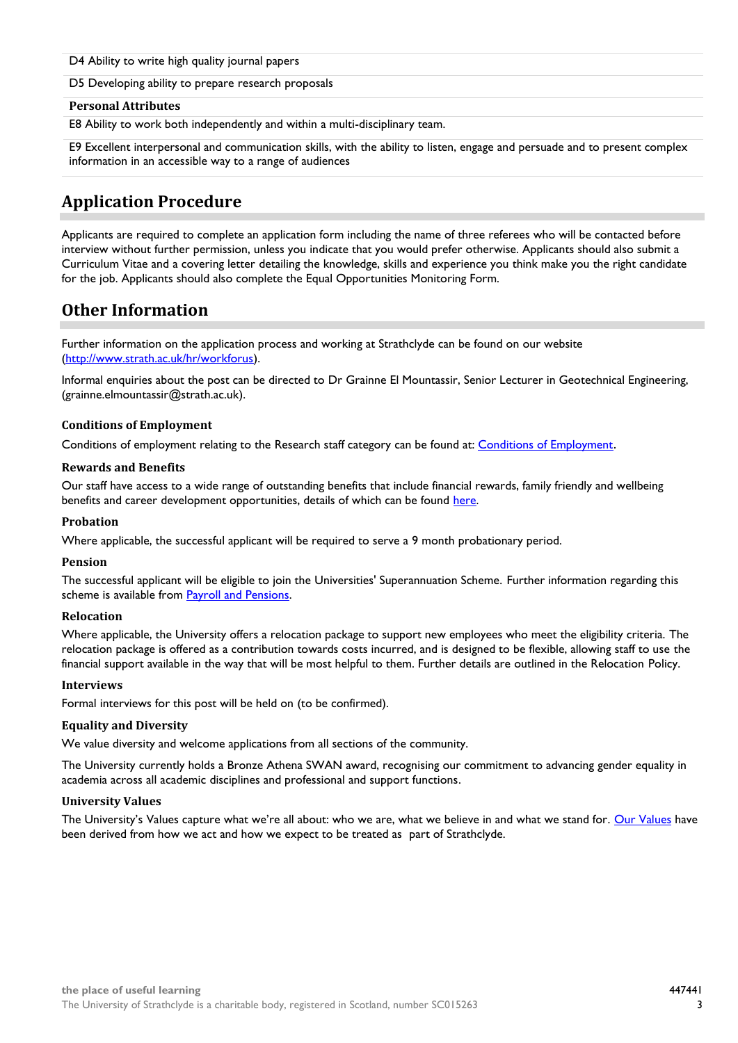D4 Ability to write high quality journal papers

D5 Developing ability to prepare research proposals

### **Personal Attributes**

E8 Ability to work both independently and within a multi-disciplinary team.

E9 Excellent interpersonal and communication skills, with the ability to listen, engage and persuade and to present complex information in an accessible way to a range of audiences

### **Application Procedure**

Applicants are required to complete an application form including the name of three referees who will be contacted before interview without further permission, unless you indicate that you would prefer otherwise. Applicants should also submit a Curriculum Vitae and a covering letter detailing the knowledge, skills and experience you think make you the right candidate for the job. Applicants should also complete the Equal Opportunities Monitoring Form.

### **Other Information**

Further information on the application process and working at Strathclyde can be found on our website [\(http://www.strath.ac.uk/hr/workforus\)](http://www.strath.ac.uk/hr/workforus).

Informal enquiries about the post can be directed to Dr Grainne El Mountassir, Senior Lecturer in Geotechnical Engineering, (grainne.elmountassir@strath.ac.uk).

### **Conditions of Employment**

Conditions of employment relating to the Research staff category can be found at[: Conditions of Employment](http://www.strath.ac.uk/hr/careerpathways/informationtermsconditions/).

### **Rewards and Benefits**

Our staff have access to a wide range of outstanding benefits that include financial rewards, family friendly and wellbeing benefits and career development opportunities, details of which can be found [here.](https://www.strath.ac.uk/workwithus/vacancies/rewardsbenefits/)

### **Probation**

Where applicable, the successful applicant will be required to serve a 9 month probationary period.

### **Pension**

The successful applicant will be eligible to join the Universities' Superannuation Scheme. Further information regarding this scheme is available from [Payroll and Pensions.](http://www.strath.ac.uk/finance/financialservices/pensions/)

### **Relocation**

Where applicable, the University offers a relocation package to support new employees who meet the eligibility criteria. The relocation package is offered as a contribution towards costs incurred, and is designed to be flexible, allowing staff to use the financial support available in the way that will be most helpful to them. Further details are outlined in the Relocation Policy.

### **Interviews**

Formal interviews for this post will be held on (to be confirmed).

### **Equality and Diversity**

We value diversity and welcome applications from all sections of the community.

The University currently holds a Bronze Athena SWAN award, recognising our commitment to advancing gender equality in academia across all academic disciplines and professional and support functions.

### **University Values**

The University's Values capture what we're all about: who we are, what we believe in and what we stand for. [Our Values](https://www.strath.ac.uk/whystrathclyde/values/) have been derived from how we act and how we expect to be treated as part of Strathclyde.